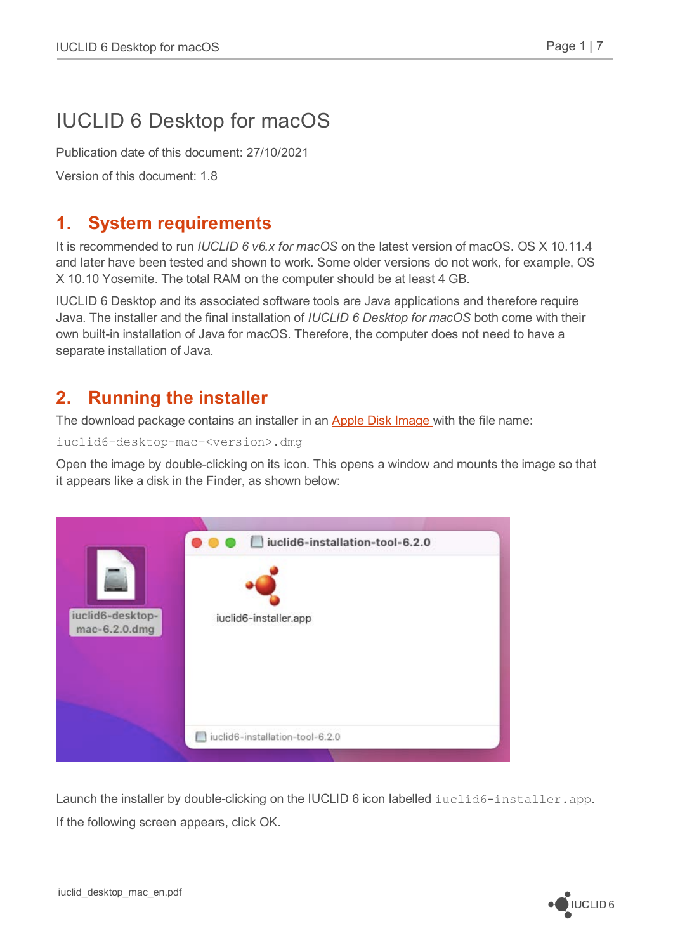# IUCLID 6 Desktop for macOS

Publication date of this document: 27/10/2021

Version of this document: 1.8

#### **1. System requirements**

It is recommended to run *IUCLID 6 v6.x for macOS* on the latest version of macOS. OS X 10.11.4 and later have been tested and shown to work. Some older versions do not work, for example, OS X 10.10 Yosemite. The total RAM on the computer should be at least 4 GB.

IUCLID 6 Desktop and its associated software tools are Java applications and therefore require Java. The installer and the final installation of *IUCLID 6 Desktop for macOS* both come with their own built-in installation of Java for macOS. Therefore, the computer does not need to have a separate installation of Java.

## **2. Running the installer**

The download package contains an installer in an **Apple Disk Image** with the file name:

iuclid6-desktop-mac-<version>.dmg

Open the image by double-clicking on its icon. This opens a window and mounts the image so that it appears like a disk in the Finder, as shown below:



Launch the installer by double-clicking on the IUCLID 6 icon labelled iuclid6-installer.app. If the following screen appears, click OK.

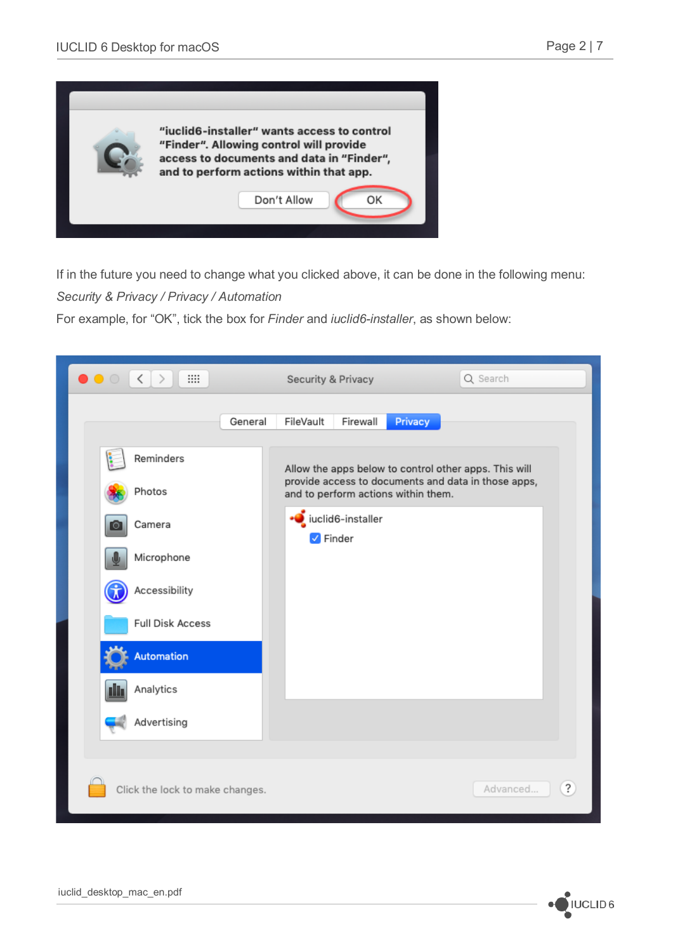

If in the future you need to change what you clicked above, it can be done in the following menu:

*Security & Privacy / Privacy / Automation*

For example, for "OK", tick the box for *Finder* and *iuclid6-installer*, as shown below:

| m<br>$\langle$<br>$\bullet\bullet\circ$ |         | Security & Privacy                                                                                                                                  | Q Search                   |
|-----------------------------------------|---------|-----------------------------------------------------------------------------------------------------------------------------------------------------|----------------------------|
|                                         | General | FileVault<br>Firewall                                                                                                                               | Privacy                    |
| Reminders                               |         | Allow the apps below to control other apps. This will<br>provide access to documents and data in those apps,<br>and to perform actions within them. |                            |
| Photos                                  |         |                                                                                                                                                     |                            |
| Camera                                  |         | • iuclid6-installer<br>$\sqrt{\phantom{a}}$ Finder                                                                                                  |                            |
| Microphone                              |         |                                                                                                                                                     |                            |
| Accessibility                           |         |                                                                                                                                                     |                            |
| <b>Full Disk Access</b>                 |         |                                                                                                                                                     |                            |
| Automation                              |         |                                                                                                                                                     |                            |
| Analytics                               |         |                                                                                                                                                     |                            |
| Advertising                             |         |                                                                                                                                                     |                            |
|                                         |         |                                                                                                                                                     |                            |
| Click the lock to make changes.         |         |                                                                                                                                                     | $\overline{?}$<br>Advanced |

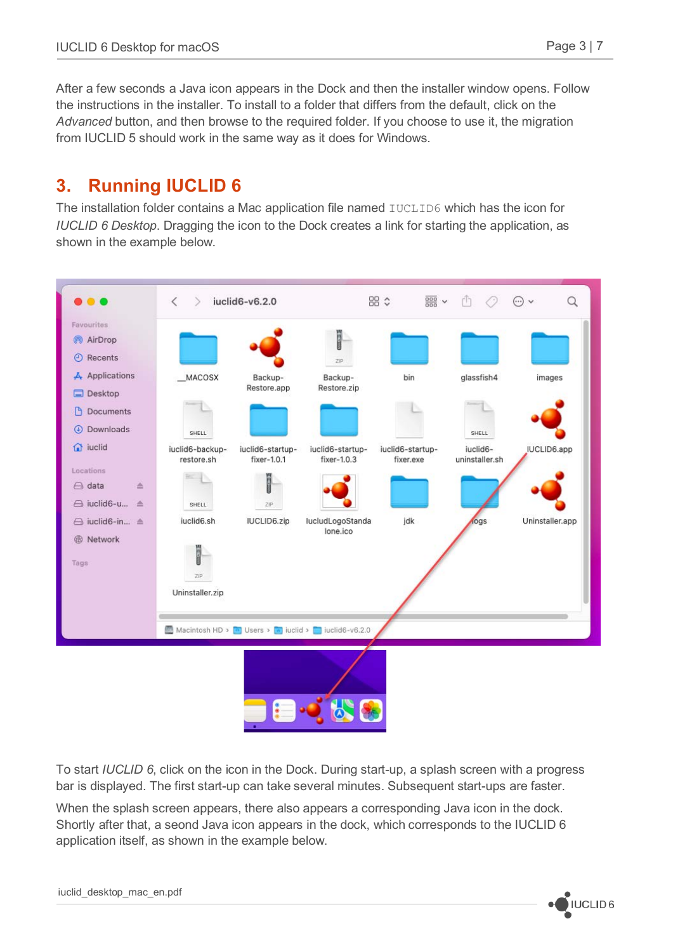After a few seconds a Java icon appears in the Dock and then the installer window opens. Follow the instructions in the installer. To install to a folder that differs from the default, click on the *Advanced* button, and then browse to the required folder. If you choose to use it, the migration from IUCLID 5 should work in the same way as it does for Windows.

### **3. Running IUCLID 6**

The installation folder contains a Mac application file named IUCLID6 which has the icon for *IUCLID 6 Desktop*. Dragging the icon to the Dock creates a link for starting the application, as shown in the example below.



To start *IUCLID 6*, click on the icon in the Dock. During start-up, a splash screen with a progress bar is displayed. The first start-up can take several minutes. Subsequent start-ups are faster.

When the splash screen appears, there also appears a corresponding Java icon in the dock. Shortly after that, a seond Java icon appears in the dock, which corresponds to the IUCLID 6 application itself, as shown in the example below.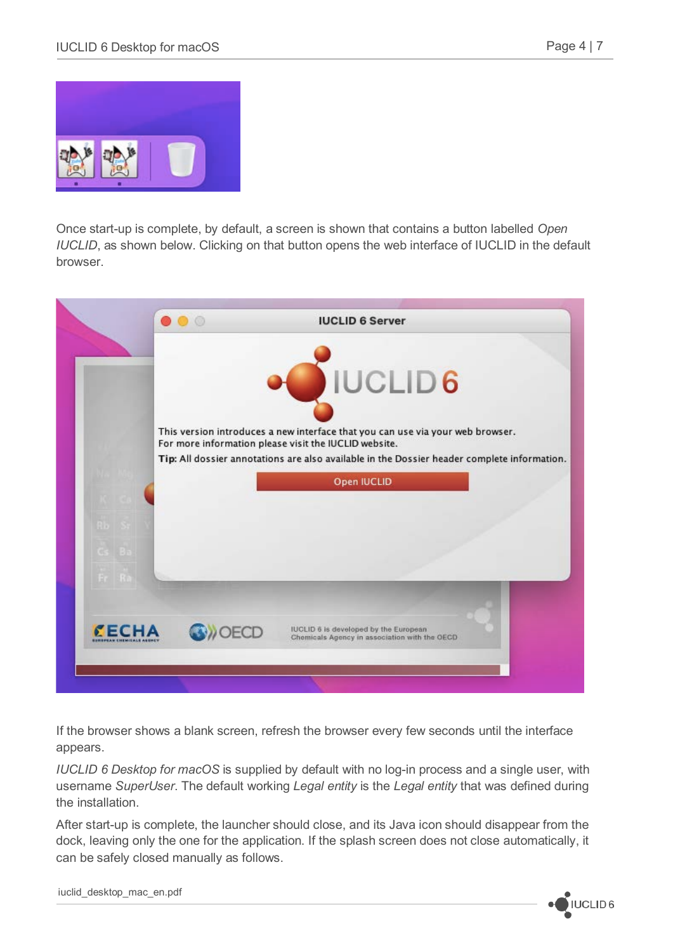

Once start-up is complete, by default, a screen is shown that contains a button labelled *Open IUCLID*, as shown below. Clicking on that button opens the web interface of IUCLID in the default browser.



If the browser shows a blank screen, refresh the browser every few seconds until the interface appears.

*IUCLID 6 Desktop for macOS* is supplied by default with no log-in process and a single user, with username *SuperUser*. The default working *Legal entity* is the *Legal entity* that was defined during the installation.

After start-up is complete, the launcher should close, and its Java icon should disappear from the dock, leaving only the one for the application. If the splash screen does not close automatically, it can be safely closed manually as follows.



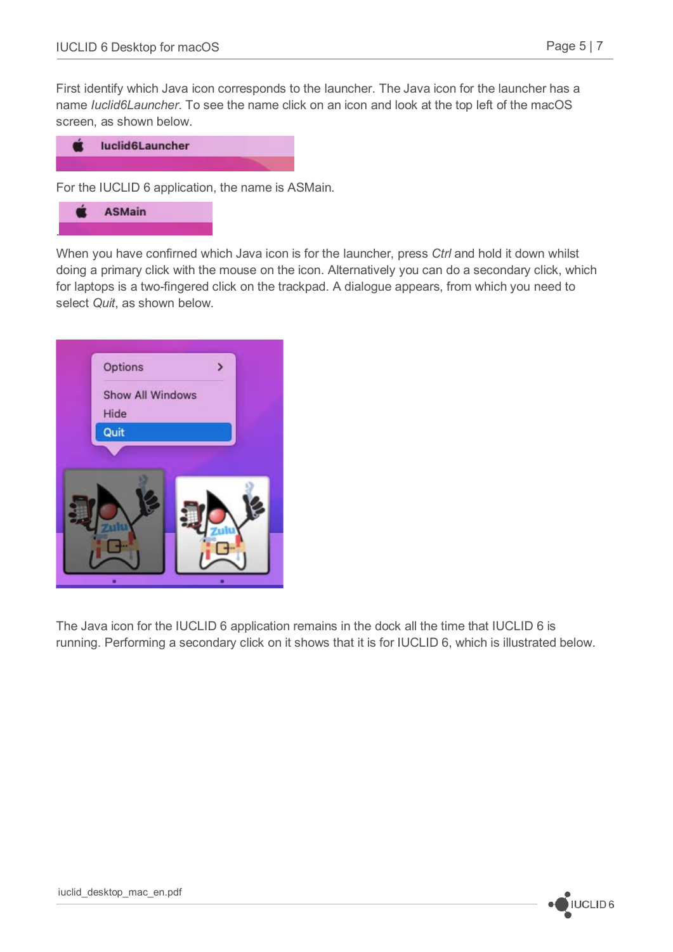First identify which Java icon corresponds to the launcher. The Java icon for the launcher has a name *Iuclid6Launcher*. To see the name click on an icon and look at the top left of the macOS screen, as shown below.



For the IUCLID 6 application, the name is ASMain.



When you have confirned which Java icon is for the launcher, press *Ctrl* and hold it down whilst doing a primary click with the mouse on the icon. Alternatively you can do a secondary click, which for laptops is a two-fingered click on the trackpad. A dialogue appears, from which you need to select *Quit*, as shown below.



The Java icon for the IUCLID 6 application remains in the dock all the time that IUCLID 6 is running. Performing a secondary click on it shows that it is for IUCLID 6, which is illustrated below.

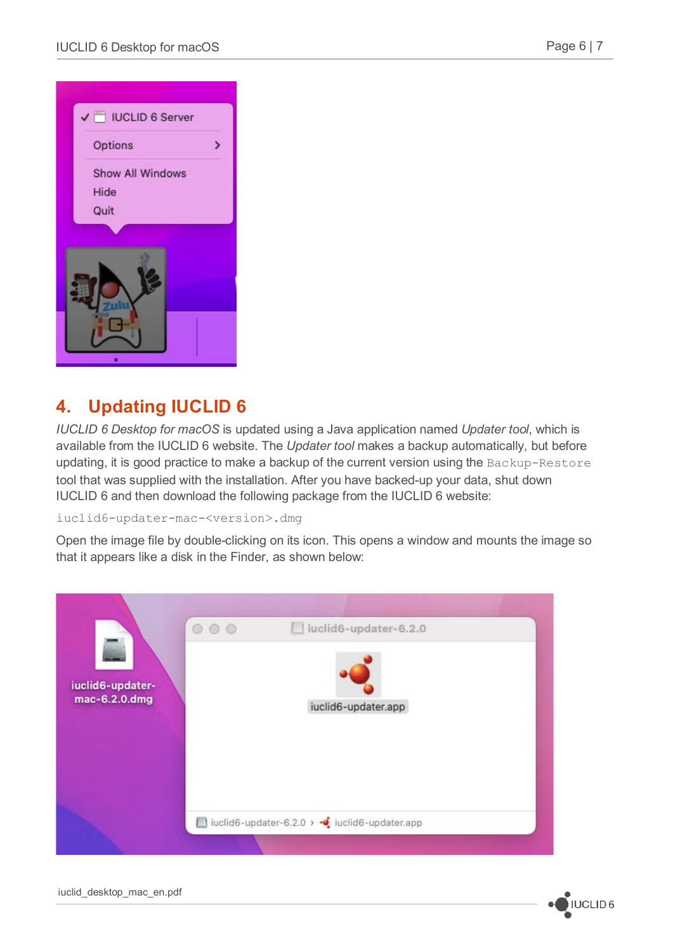JUCLID<sub>6</sub>



#### **4. Updating IUCLID 6**

*IUCLID 6 Desktop for macOS* is updated using a Java application named *Updater tool*, which is available from the IUCLID 6 website. The *Updater tool* makes a backup automatically, but before updating, it is good practice to make a backup of the current version using the Backup-Restore tool that was supplied with the installation. After you have backed-up your data, shut down IUCLID 6 and then download the following package from the IUCLID 6 website:

iuclid6-updater-mac-<version>.dmg

Open the image file by double-clicking on its icon. This opens a window and mounts the image so that it appears like a disk in the Finder, as shown below: